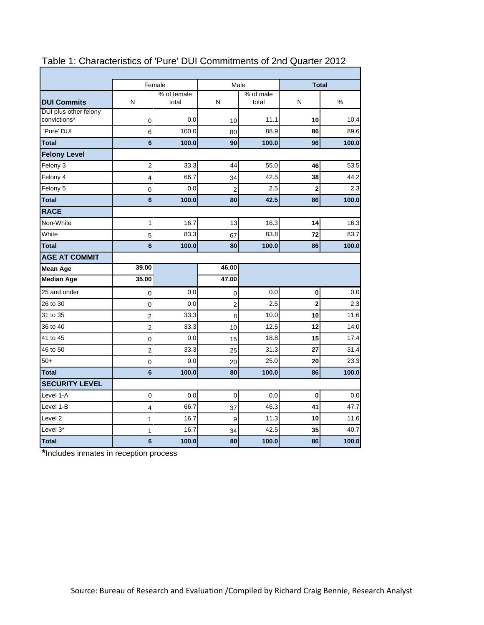|                                       |                         | Female               | Male           |                    |                         | <b>Total</b> |
|---------------------------------------|-------------------------|----------------------|----------------|--------------------|-------------------------|--------------|
| <b>DUI Commits</b>                    | N                       | % of female<br>total | N              | % of male<br>total | Ν                       | %            |
| DUI plus other felony<br>convictions* | 0                       | 0.0                  | 10             | 11.1               | 10                      | 10.4         |
| 'Pure' DUI                            | 6                       | 100.0                | 80             | 88.9               | 86                      | 89.6         |
| <b>Total</b>                          | 6                       | 100.0                | 90             | 100.0              | 96                      | 100.0        |
| <b>Felony Level</b>                   |                         |                      |                |                    |                         |              |
| Felony 3                              | $\overline{2}$          | 33.3                 | 44             | 55.0               | 46                      | 53.5         |
| Felony 4                              | 4                       | 66.7                 | 34             | 42.5               | 38                      | 44.2         |
| Felony 5                              | 0                       | 0.0                  | $\overline{2}$ | 2.5                | $\overline{\mathbf{c}}$ | 2.3          |
| <b>Total</b>                          | $6\phantom{a}$          | 100.0                | 80             | 42.5               | 86                      | 100.0        |
| <b>RACE</b>                           |                         |                      |                |                    |                         |              |
| Non-White                             | 1                       | 16.7                 | 13             | 16.3               | 14                      | 16.3         |
| White                                 | 5                       | 83.3                 | 67             | 83.8               | 72                      | 83.7         |
| <b>Total</b>                          | 6                       | 100.0                | 80             | 100.0              | 86                      | 100.0        |
| <b>AGE AT COMMIT</b>                  |                         |                      |                |                    |                         |              |
| Mean Age                              | 39.00                   |                      | 46.00          |                    |                         |              |
| <b>Median Age</b>                     | 35.00                   |                      | 47.00          |                    |                         |              |
| 25 and under                          | 0                       | 0.0                  | 0              | 0.0                | 0                       | 0.0          |
| 26 to 30                              | 0                       | 0.0                  | $\overline{c}$ | 2.5                | $\overline{\mathbf{c}}$ | 2.3          |
| 31 to 35                              | 2                       | 33.3                 | 8              | 10.0               | 10                      | 11.6         |
| 36 to 40                              | 2                       | 33.3                 | 10             | 12.5               | 12                      | 14.0         |
| 41 to 45                              | $\mathbf 0$             | 0.0                  | 15             | 18.8               | 15                      | 17.4         |
| 46 to 50                              | $\overline{\mathbf{c}}$ | 33.3                 | 25             | 31.3               | 27                      | 31.4         |
| $50+$                                 | 0                       | 0.0                  | 20             | 25.0               | 20                      | 23.3         |
| <b>Total</b>                          | $6\phantom{a}$          | 100.0                | 80             | 100.0              | 86                      | 100.0        |
| <b>SECURITY LEVEL</b>                 |                         |                      |                |                    |                         |              |
| Level 1-A                             | $\pmb{0}$               | 0.0                  | 0              | 0.0                | $\bf{0}$                | 0.0          |
| Level 1-B                             | 4                       | 66.7                 | 37             | 46.3               | 41                      | 47.7         |
| Level <sub>2</sub>                    | 1                       | 16.7                 | 9              | 11.3               | 10                      | 11.6         |
| Level 3*                              | 1                       | 16.7                 | 34             | 42.5               | 35                      | 40.7         |
| <b>Total</b>                          | 6                       | 100.0                | 80             | 100.0              | 86                      | 100.0        |

#### Table 1: Characteristics of 'Pure' DUI Commitments of 2nd Quarter 2012

**\***Includes inmates in reception process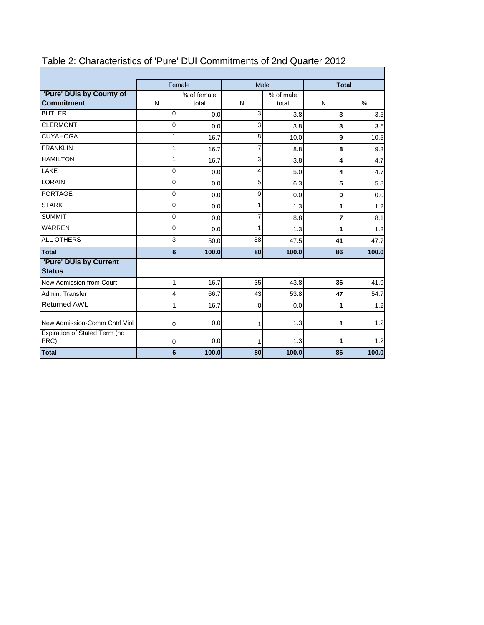|                                               |                | Female<br>Male |              | <b>Total</b> |              |       |
|-----------------------------------------------|----------------|----------------|--------------|--------------|--------------|-------|
| 'Pure' DUIs by County of<br><b>Commitment</b> | % of female    |                |              | % of male    |              | %     |
|                                               | N              | total          | N            | total        | N            |       |
| <b>BUTLER</b>                                 | $\mathbf{0}$   | 0.0            | 3            | 3.8          | 3            | 3.5   |
| <b>CLERMONT</b>                               | 0              | 0.0            | 3            | 3.8          | 3            | 3.5   |
| <b>CUYAHOGA</b>                               | 1              | 16.7           | 8            | 10.0         | 9            | 10.5  |
| <b>FRANKLIN</b>                               | 1              | 16.7           | 7            | 8.8          | 8            | 9.3   |
| <b>HAMILTON</b>                               | 1              | 16.7           | 3            | 3.8          | 4            | 4.7   |
| LAKE                                          | $\mathbf{0}$   | 0.0            | 4            | 5.0          | 4            | 4.7   |
| LORAIN                                        | 0              | 0.0            | 5            | 6.3          | 5            | 5.8   |
| <b>PORTAGE</b>                                | $\Omega$       | 0.0            | 0            | 0.0          | $\mathbf{0}$ | 0.0   |
| <b>STARK</b>                                  | $\Omega$       | 0.0            | $\mathbf{1}$ | 1.3          |              | 1.2   |
| <b>SUMMIT</b>                                 | $\overline{0}$ | 0.0            | 7            | 8.8          | 7            | 8.1   |
| <b>WARREN</b>                                 | 0              | 0.0            | 1            | 1.3          | 1            | 1.2   |
| <b>ALL OTHERS</b>                             | ვ              | 50.0           | 38           | 47.5         | 41           | 47.7  |
| <b>Total</b>                                  | 6 <sup>1</sup> | 100.0          | 80           | 100.0        | 86           | 100.0 |
| 'Pure' DUIs by Current<br><b>Status</b>       |                |                |              |              |              |       |
| New Admission from Court                      | $\mathbf{1}$   | 16.7           | 35           | 43.8         | 36           | 41.9  |
| Admin, Transfer                               | $\overline{4}$ | 66.7           | 43           | 53.8         | 47           | 54.7  |
| <b>Returned AWL</b>                           | 1              | 16.7           | 0            | 0.0          | 1            | 1.2   |
| New Admission-Comm Cntrl Viol                 | 0              | 0.0            | 1            | 1.3          | 1            | 1.2   |
| Expiration of Stated Term (no<br>PRC)         | 0              | 0.0            | 1            | 1.3          | 1            | 1.2   |
| <b>Total</b>                                  | 6 <sup>1</sup> | 100.0          | 80           | 100.0        | 86           | 100.0 |

# Table 2: Characteristics of 'Pure' DUI Commitments of 2nd Quarter 2012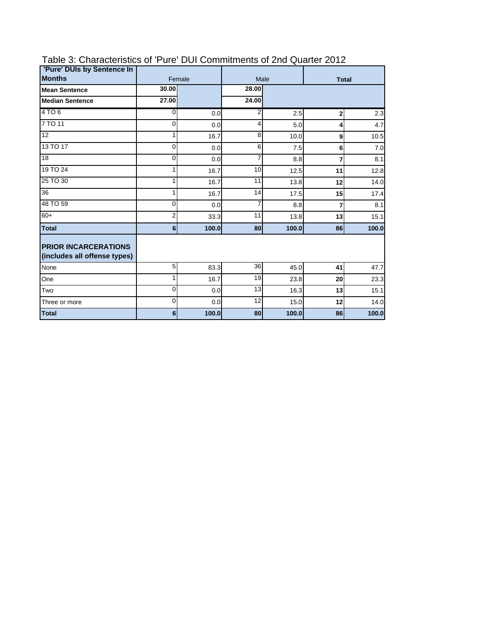| 'Pure' DUIs by Sentence In                                  |                |        |                |              |                |       |
|-------------------------------------------------------------|----------------|--------|----------------|--------------|----------------|-------|
| <b>Months</b>                                               |                | Female | Male           | <b>Total</b> |                |       |
| <b>Mean Sentence</b>                                        | 30.00          |        | 28.00          |              |                |       |
| <b>Median Sentence</b>                                      | 27.00          |        | 24.00          |              |                |       |
| 4 TO 6                                                      | $\Omega$       | 0.0    | 2              | 2.5          | $\overline{2}$ | 2.3   |
| 7 TO 11                                                     | 0              | 0.0    | 4              | 5.0          | 4              | 4.7   |
| $\overline{12}$                                             | 1              | 16.7   | 8              | 10.0         | 9              | 10.5  |
| 13 TO 17                                                    | $\Omega$       | 0.0    | 6              | 7.5          | 6              | 7.0   |
| 18                                                          | 0              | 0.0    | $\overline{7}$ | 8.8          |                | 8.1   |
| 19 TO 24                                                    | 1              | 16.7   | 10             | 12.5         | 11             | 12.8  |
| 25 TO 30                                                    | 1              | 16.7   | 11             | 13.8         | 12             | 14.0  |
| 36                                                          |                | 16.7   | 14             | 17.5         | 15             | 17.4  |
| 48 TO 59                                                    | $\Omega$       | 0.0    | 7              | 8.8          | 7              | 8.1   |
| $+09$                                                       | 2              | 33.3   | 11             | 13.8         | 13             | 15.1  |
| <b>Total</b>                                                | 6 <sup>1</sup> | 100.0  | 80             | 100.0        | 86             | 100.0 |
| <b>PRIOR INCARCERATIONS</b><br>(includes all offense types) |                |        |                |              |                |       |
| None                                                        | 5 <sup>1</sup> | 83.3   | 36             | 45.0         | 41             | 47.7  |
| One                                                         | 1              | 16.7   | 19             | 23.8         | 20             | 23.3  |
| Two                                                         | $\mathbf 0$    | 0.0    | 13             | 16.3         | 13             | 15.1  |
| Three or more                                               | 0              | 0.0    | 12             | 15.0         | 12             | 14.0  |
| Total                                                       | 6              | 100.0  | 80             | 100.0        | 86             | 100.0 |

## Table 3: Characteristics of 'Pure' DUI Commitments of 2nd Quarter 2012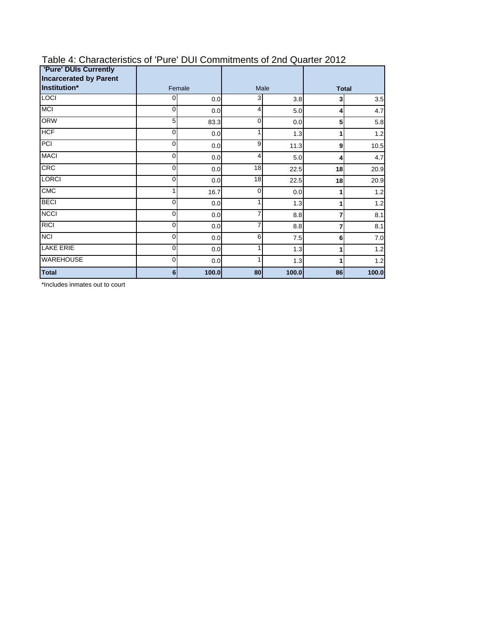| <b>'Pure' DUIs Currently</b><br><b>Incarcerated by Parent</b> |        |       |              |       |              |       |  |
|---------------------------------------------------------------|--------|-------|--------------|-------|--------------|-------|--|
| Institution*                                                  | Female |       | Male         |       | <b>Total</b> |       |  |
| <b>LOCI</b>                                                   | 0      | 0.0   | 3            | 3.8   | 3            | 3.5   |  |
| <b>MCI</b>                                                    | 0      | 0.0   | 4            | 5.0   | 4            | 4.7   |  |
| <b>ORW</b>                                                    | 5      | 83.3  | 0            | 0.0   | 5            | 5.8   |  |
| <b>HCF</b>                                                    | 0      | 0.0   |              | 1.3   |              | 1.2   |  |
| PCI                                                           | 0      | 0.0   | 9            | 11.3  | 9            | 10.5  |  |
| <b>MACI</b>                                                   | 0      | 0.0   | 4            | 5.0   | 4            | 4.7   |  |
| CRC                                                           | 0      | 0.0   | 18           | 22.5  | 18           | 20.9  |  |
| <b>LORCI</b>                                                  | 0      | 0.0   | 18           | 22.5  | 18           | 20.9  |  |
| <b>CMC</b>                                                    | 1      | 16.7  | $\mathbf{0}$ | 0.0   |              | 1.2   |  |
| <b>BECI</b>                                                   | 0      | 0.0   |              | 1.3   |              | 1.2   |  |
| <b>NCCI</b>                                                   | 0      | 0.0   |              | 8.8   |              | 8.1   |  |
| <b>RICI</b>                                                   | 0      | 0.0   |              | 8.8   |              | 8.1   |  |
| <b>NCI</b>                                                    | 0      | 0.0   | 6            | 7.5   | 6            | 7.0   |  |
| <b>LAKE ERIE</b>                                              | 0      | 0.0   |              | 1.3   |              | 1.2   |  |
| <b>WAREHOUSE</b>                                              | 0      | 0.0   |              | 1.3   |              | 1.2   |  |
| <b>Total</b>                                                  | 6      | 100.0 | 80           | 100.0 | 86           | 100.0 |  |

### Table 4: Characteristics of 'Pure' DUI Commitments of 2nd Quarter 2012

\*Includes inmates out to court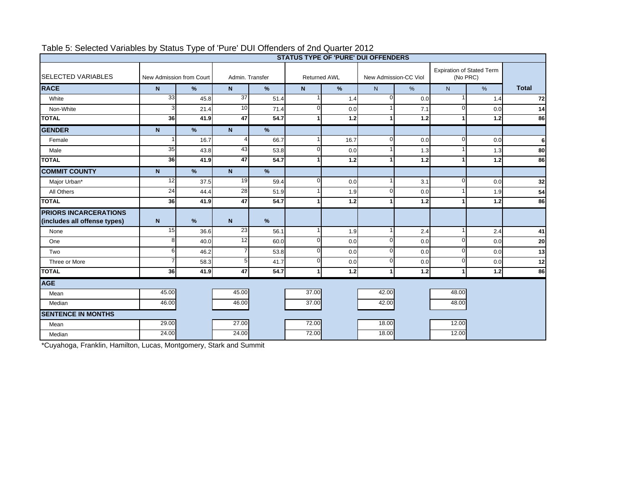|                                                              | ╯<br><b>STATUS TYPE OF 'PURE' DUI OFFENDERS</b> |                          |                                        |               |                       |       |                                              |       |              |       |              |
|--------------------------------------------------------------|-------------------------------------------------|--------------------------|----------------------------------------|---------------|-----------------------|-------|----------------------------------------------|-------|--------------|-------|--------------|
| <b>SELECTED VARIABLES</b>                                    |                                                 | New Admission from Court | Admin. Transfer<br><b>Returned AWL</b> |               | New Admission-CC Viol |       | <b>Expiration of Stated Term</b><br>(No PRC) |       |              |       |              |
| <b>RACE</b>                                                  | $\mathsf{N}$                                    | $\%$                     | N                                      | $\frac{9}{6}$ | N.                    | $\%$  | N <sub>1</sub>                               | $\%$  | N            | $\%$  | <b>Total</b> |
| White                                                        | 33                                              | 45.8                     | 37                                     | 51.4          |                       | 1.4   | $\Omega$                                     | 0.0   | 1            | 1.4   | 72           |
| Non-White                                                    | З                                               | 21.4                     | 10                                     | 71.4          | $\Omega$              | 0.0   |                                              | 7.1   | $\Omega$     | 0.0   | 14           |
| <b>TOTAL</b>                                                 | 36                                              | 41.9                     | 47                                     | 54.7          |                       | 1.2   |                                              | 1.2   |              | 1.2   | 86           |
| <b>GENDER</b>                                                | N <sub>1</sub>                                  | $\frac{9}{6}$            | $\mathbf N$                            | $\frac{9}{6}$ |                       |       |                                              |       |              |       |              |
| Female                                                       |                                                 | 16.7                     | 4                                      | 66.7          |                       | 16.7  | $\Omega$                                     | 0.0   | $\Omega$     | 0.0   | $6 \mid$     |
| Male                                                         | 35                                              | 43.8                     | 43                                     | 53.8          | $\Omega$              | 0.0   |                                              | 1.3   | 1            | 1.3   | 80           |
| <b>TOTAL</b>                                                 | 36                                              | 41.9                     | 47                                     | 54.7          |                       | $1.2$ |                                              | $1.2$ | 1            | $1.2$ | 86           |
| <b>COMMIT COUNTY</b>                                         | $\mathsf{N}$                                    | $\%$                     | $\mathsf{N}$                           | $\frac{9}{6}$ |                       |       |                                              |       |              |       |              |
| Major Urban*                                                 | 12                                              | 37.5                     | 19                                     | 59.4          | $\Omega$              | 0.0   |                                              | 3.1   | $\Omega$     | 0.0   | 32           |
| All Others                                                   | 24                                              | 44.4                     | 28                                     | 51.9          |                       | 1.9   | $\Omega$                                     | 0.0   |              | 1.9   | 54           |
| <b>TOTAL</b>                                                 | 36                                              | 41.9                     | 47                                     | 54.7          |                       | 1.2   |                                              | 1.2   |              | 1.2   | 86           |
| <b>PRIORS INCARCERATIONS</b><br>(includes all offense types) | $\mathsf{N}$                                    | $\frac{9}{6}$            | $\mathsf{N}$                           | $\frac{9}{6}$ |                       |       |                                              |       |              |       |              |
| None                                                         | 15                                              | 36.6                     | 23                                     | 56.1          |                       | 1.9   |                                              | 2.4   | $\mathbf{1}$ | 2.4   | 41           |
| One                                                          | 8                                               | 40.0                     | 12                                     | 60.0          | $\Omega$              | 0.0   | $\Omega$                                     | 0.0   | $\Omega$     | 0.0   | 20           |
| Two                                                          | 6                                               | 46.2                     | $\overline{7}$                         | 53.8          | $\Omega$              | 0.0   | $\Omega$                                     | 0.0   | $\Omega$     | 0.0   | 13           |
| Three or More                                                |                                                 | 58.3                     | 5                                      | 41.7          | $\Omega$              | 0.0   | $\Omega$                                     | 0.0   | $\mathbf 0$  | 0.0   | 12           |
| <b>TOTAL</b>                                                 | 36                                              | 41.9                     | $\overline{47}$                        | 54.7          | 1                     | $1.2$ | 1                                            | 1.2   | 1            | $1.2$ | 86           |
| <b>AGE</b>                                                   |                                                 |                          |                                        |               |                       |       |                                              |       |              |       |              |
| Mean                                                         | 45.00                                           |                          | 45.00                                  |               | 37.00                 |       | 42.00                                        |       | 48.00        |       |              |
| Median                                                       | 46.00                                           |                          | 46.00                                  |               | 37.00                 |       | 42.00                                        |       | 48.00        |       |              |
| <b>SENTENCE IN MONTHS</b>                                    |                                                 |                          |                                        |               |                       |       |                                              |       |              |       |              |
| Mean                                                         | 29.00                                           |                          | 27.00                                  |               | 72.00                 |       | 18.00                                        |       | 12.00        |       |              |
| Median                                                       | 24.00                                           |                          | 24.00                                  |               | 72.00                 |       | 18.00                                        |       | 12.00        |       |              |

### Table 5: Selected Variables by Status Type of 'Pure' DUI Offenders of 2nd Quarter 2012

\*Cuyahoga, Franklin, Hamilton, Lucas, Montgomery, Stark and Summit